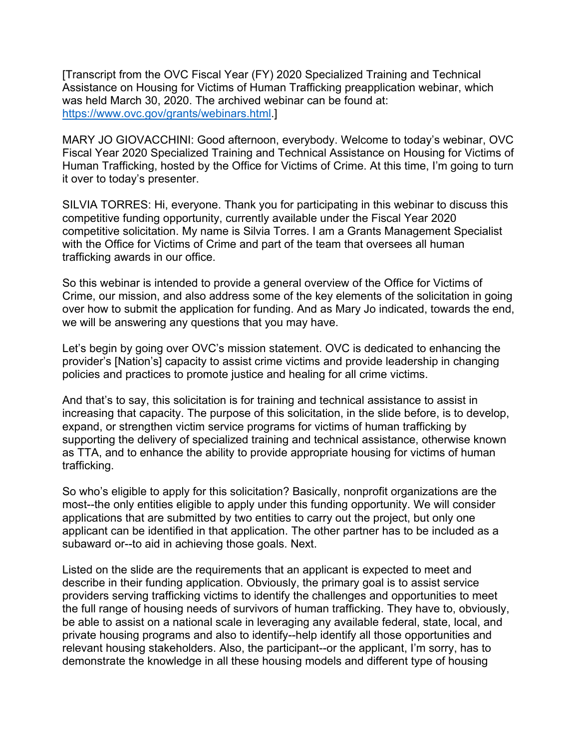[Transcript from the OVC Fiscal Year (FY) 2020 Specialized Training and Technical Assistance on Housing for Victims of Human Trafficking preapplication webinar, which was held March 30, 2020. The archived webinar can be found at: https://www.ovc.gov/grants/webinars.html.]

MARY JO GIOVACCHINI: Good afternoon, everybody. Welcome to today's webinar, OVC Fiscal Year 2020 Specialized Training and Technical Assistance on Housing for Victims of Human Trafficking, hosted by the Office for Victims of Crime. At this time, I'm going to turn it over to today's presenter.

SILVIA TORRES: Hi, everyone. Thank you for participating in this webinar to discuss this competitive funding opportunity, currently available under the Fiscal Year 2020 competitive solicitation. My name is Silvia Torres. I am a Grants Management Specialist with the Office for Victims of Crime and part of the team that oversees all human trafficking awards in our office.

So this webinar is intended to provide a general overview of the Office for Victims of Crime, our mission, and also address some of the key elements of the solicitation in going over how to submit the application for funding. And as Mary Jo indicated, towards the end, we will be answering any questions that you may have.

Let's begin by going over OVC's mission statement. OVC is dedicated to enhancing the provider's [Nation's] capacity to assist crime victims and provide leadership in changing policies and practices to promote justice and healing for all crime victims.

And that's to say, this solicitation is for training and technical assistance to assist in increasing that capacity. The purpose of this solicitation, in the slide before, is to develop, expand, or strengthen victim service programs for victims of human trafficking by supporting the delivery of specialized training and technical assistance, otherwise known as TTA, and to enhance the ability to provide appropriate housing for victims of human trafficking.

So who's eligible to apply for this solicitation? Basically, nonprofit organizations are the most--the only entities eligible to apply under this funding opportunity. We will consider applications that are submitted by two entities to carry out the project, but only one applicant can be identified in that application. The other partner has to be included as a subaward or--to aid in achieving those goals. Next.

Listed on the slide are the requirements that an applicant is expected to meet and describe in their funding application. Obviously, the primary goal is to assist service providers serving trafficking victims to identify the challenges and opportunities to meet the full range of housing needs of survivors of human trafficking. They have to, obviously, be able to assist on a national scale in leveraging any available federal, state, local, and private housing programs and also to identify--help identify all those opportunities and relevant housing stakeholders. Also, the participant--or the applicant, I'm sorry, has to demonstrate the knowledge in all these housing models and different type of housing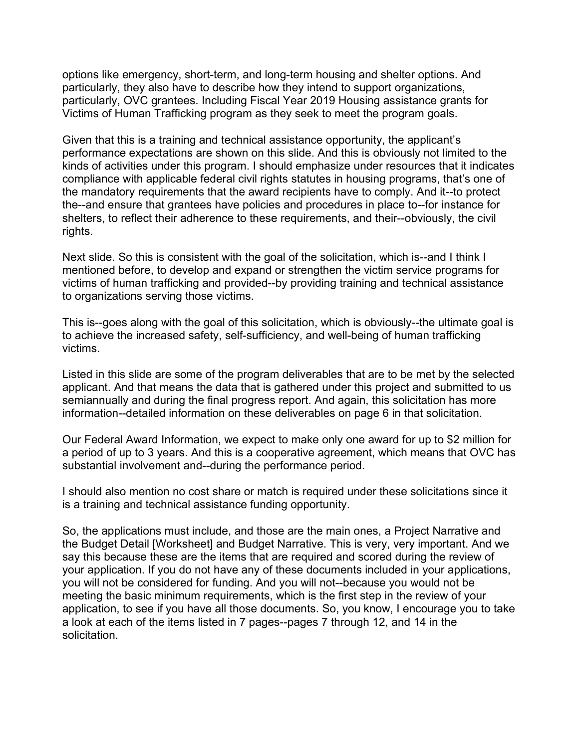options like emergency, short-term, and long-term housing and shelter options. And particularly, they also have to describe how they intend to support organizations, particularly, OVC grantees. Including Fiscal Year 2019 Housing assistance grants for Victims of Human Trafficking program as they seek to meet the program goals.

Given that this is a training and technical assistance opportunity, the applicant's performance expectations are shown on this slide. And this is obviously not limited to the kinds of activities under this program. I should emphasize under resources that it indicates compliance with applicable federal civil rights statutes in housing programs, that's one of the mandatory requirements that the award recipients have to comply. And it--to protect the--and ensure that grantees have policies and procedures in place to--for instance for shelters, to reflect their adherence to these requirements, and their--obviously, the civil rights.

Next slide. So this is consistent with the goal of the solicitation, which is--and I think I mentioned before, to develop and expand or strengthen the victim service programs for victims of human trafficking and provided--by providing training and technical assistance to organizations serving those victims.

This is--goes along with the goal of this solicitation, which is obviously--the ultimate goal is to achieve the increased safety, self-sufficiency, and well-being of human trafficking victims.

Listed in this slide are some of the program deliverables that are to be met by the selected applicant. And that means the data that is gathered under this project and submitted to us semiannually and during the final progress report. And again, this solicitation has more information--detailed information on these deliverables on page 6 in that solicitation.

Our Federal Award Information, we expect to make only one award for up to \$2 million for a period of up to 3 years. And this is a cooperative agreement, which means that OVC has substantial involvement and--during the performance period.

I should also mention no cost share or match is required under these solicitations since it is a training and technical assistance funding opportunity.

So, the applications must include, and those are the main ones, a Project Narrative and the Budget Detail [Worksheet] and Budget Narrative. This is very, very important. And we say this because these are the items that are required and scored during the review of your application. If you do not have any of these documents included in your applications, you will not be considered for funding. And you will not--because you would not be meeting the basic minimum requirements, which is the first step in the review of your application, to see if you have all those documents. So, you know, I encourage you to take a look at each of the items listed in 7 pages--pages 7 through 12, and 14 in the solicitation.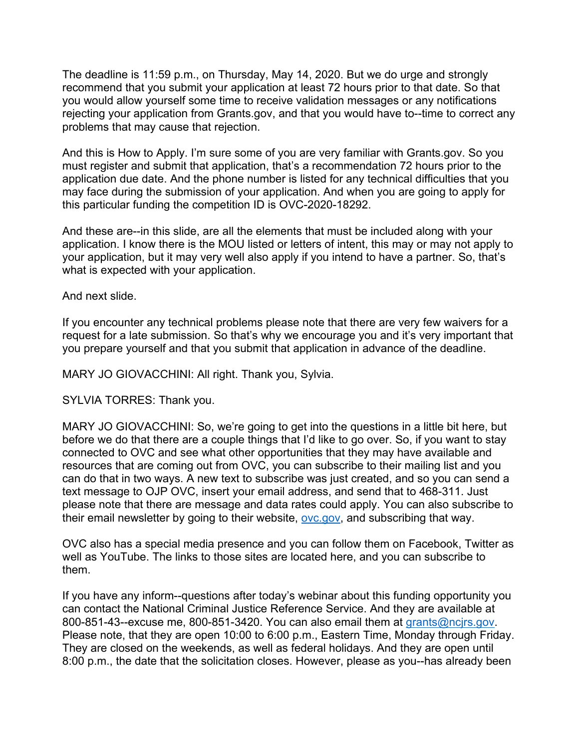The deadline is 11:59 p.m., on Thursday, May 14, 2020. But we do urge and strongly recommend that you submit your application at least 72 hours prior to that date. So that you would allow yourself some time to receive validation messages or any notifications rejecting your application from Grants.gov, and that you would have to--time to correct any problems that may cause that rejection.

And this is How to Apply. I'm sure some of you are very familiar with Grants.gov. So you must register and submit that application, that's a recommendation 72 hours prior to the application due date. And the phone number is listed for any technical difficulties that you may face during the submission of your application. And when you are going to apply for this particular funding the competition ID is OVC-2020-18292.

And these are--in this slide, are all the elements that must be included along with your application. I know there is the MOU listed or letters of intent, this may or may not apply to your application, but it may very well also apply if you intend to have a partner. So, that's what is expected with your application.

And next slide.

If you encounter any technical problems please note that there are very few waivers for a request for a late submission. So that's why we encourage you and it's very important that you prepare yourself and that you submit that application in advance of the deadline.

MARY JO GIOVACCHINI: All right. Thank you, Sylvia.

SYLVIA TORRES: Thank you.

MARY JO GIOVACCHINI: So, we're going to get into the questions in a little bit here, but before we do that there are a couple things that I'd like to go over. So, if you want to stay connected to OVC and see what other opportunities that they may have available and resources that are coming out from OVC, you can subscribe to their mailing list and you can do that in two ways. A new text to subscribe was just created, and so you can send a text message to OJP OVC, insert your email address, and send that to 468-311. Just please note that there are message and data rates could apply. You can also subscribe to their email newsletter by going to their website, [ovc.gov,](https://www.ovc.gov/) and subscribing that way.

OVC also has a special media presence and you can follow them on Facebook, Twitter as well as YouTube. The links to those sites are located here, and you can subscribe to them.

If you have any inform--questions after today's webinar about this funding opportunity you can contact the National Criminal Justice Reference Service. And they are available at 800-851-43--excuse me, 800-851-3420. You can also email them at [grants@ncjrs.gov.](mailto:grants@ncjrs.gov) Please note, that they are open 10:00 to 6:00 p.m., Eastern Time, Monday through Friday. They are closed on the weekends, as well as federal holidays. And they are open until 8:00 p.m., the date that the solicitation closes. However, please as you--has already been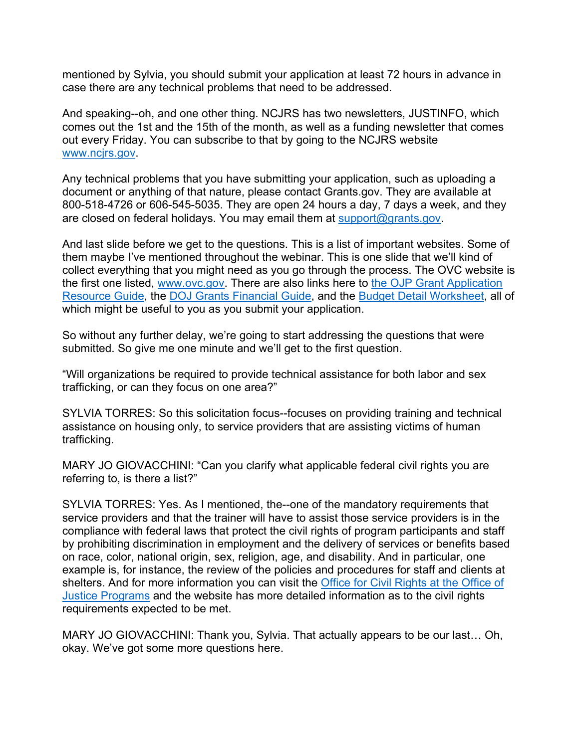mentioned by Sylvia, you should submit your application at least 72 hours in advance in case there are any technical problems that need to be addressed.

And speaking--oh, and one other thing. NCJRS has two newsletters, JUSTINFO, which comes out the 1st and the 15th of the month, as well as a funding newsletter that comes out every Friday. You can subscribe to that by going to the NCJRS website [www.ncjrs.gov.](http://www.ncjrs.gov/)

Any technical problems that you have submitting your application, such as uploading a document or anything of that nature, please contact Grants.gov. They are available at 800-518-4726 or 606-545-5035. They are open 24 hours a day, 7 days a week, and they are closed on federal holidays. You may email them at [support@grants.gov.](mailto:support@grants.gov)

And last slide before we get to the questions. This is a list of important websites. Some of them maybe I've mentioned throughout the webinar. This is one slide that we'll kind of collect everything that you might need as you go through the process. The OVC website is the first one listed, [www.ovc.gov.](http://www.ovc.gov/) There are also links here to [the OJP Grant Application](https://www.ojp.gov/funding/Apply/Resources/Grant-App-Resource-Guide.htm)  [Resource Guide,](https://www.ojp.gov/funding/Apply/Resources/Grant-App-Resource-Guide.htm) the [DOJ Grants Financial Guide,](https://ojp.gov/financialguide/DOJ/index.htm) and the [Budget Detail Worksheet,](https://ojp.gov/funding/Apply/Forms/BudgetDetailWorksheet.htm) all of which might be useful to you as you submit your application.

So without any further delay, we're going to start addressing the questions that were submitted. So give me one minute and we'll get to the first question.

"Will organizations be required to provide technical assistance for both labor and sex trafficking, or can they focus on one area?"

SYLVIA TORRES: So this solicitation focus--focuses on providing training and technical assistance on housing only, to service providers that are assisting victims of human trafficking.

MARY JO GIOVACCHINI: "Can you clarify what applicable federal civil rights you are referring to, is there a list?"

SYLVIA TORRES: Yes. As I mentioned, the--one of the mandatory requirements that service providers and that the trainer will have to assist those service providers is in the compliance with federal laws that protect the civil rights of program participants and staff by prohibiting discrimination in employment and the delivery of services or benefits based on race, color, national origin, sex, religion, age, and disability. And in particular, one example is, for instance, the review of the policies and procedures for staff and clients at shelters. And for more information you can visit the [Office for Civil Rights at the Office of](https://www.ojp.gov/about/offices/ocr.htm)  [Justice Programs](https://www.ojp.gov/about/offices/ocr.htm) and the website has more detailed information as to the civil rights requirements expected to be met.

MARY JO GIOVACCHINI: Thank you, Sylvia. That actually appears to be our last… Oh, okay. We've got some more questions here.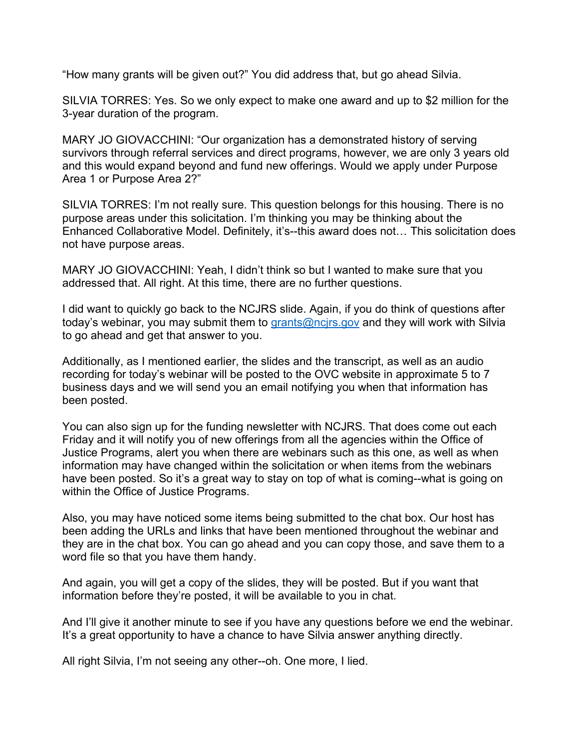"How many grants will be given out?" You did address that, but go ahead Silvia.

SILVIA TORRES: Yes. So we only expect to make one award and up to \$2 million for the 3-year duration of the program.

MARY JO GIOVACCHINI: "Our organization has a demonstrated history of serving survivors through referral services and direct programs, however, we are only 3 years old and this would expand beyond and fund new offerings. Would we apply under Purpose Area 1 or Purpose Area 2?"

SILVIA TORRES: I'm not really sure. This question belongs for this housing. There is no purpose areas under this solicitation. I'm thinking you may be thinking about the Enhanced Collaborative Model. Definitely, it's--this award does not… This solicitation does not have purpose areas.

MARY JO GIOVACCHINI: Yeah, I didn't think so but I wanted to make sure that you addressed that. All right. At this time, there are no further questions.

I did want to quickly go back to the NCJRS slide. Again, if you do think of questions after today's webinar, you may submit them to [grants@ncjrs.gov](mailto:grants@ncjrs.gov) and they will work with Silvia to go ahead and get that answer to you.

Additionally, as I mentioned earlier, the slides and the transcript, as well as an audio recording for today's webinar will be posted to the OVC website in approximate 5 to 7 business days and we will send you an email notifying you when that information has been posted.

You can also sign up for the funding newsletter with NCJRS. That does come out each Friday and it will notify you of new offerings from all the agencies within the Office of Justice Programs, alert you when there are webinars such as this one, as well as when information may have changed within the solicitation or when items from the webinars have been posted. So it's a great way to stay on top of what is coming--what is going on within the Office of Justice Programs.

Also, you may have noticed some items being submitted to the chat box. Our host has been adding the URLs and links that have been mentioned throughout the webinar and they are in the chat box. You can go ahead and you can copy those, and save them to a word file so that you have them handy.

And again, you will get a copy of the slides, they will be posted. But if you want that information before they're posted, it will be available to you in chat.

And I'll give it another minute to see if you have any questions before we end the webinar. It's a great opportunity to have a chance to have Silvia answer anything directly.

All right Silvia, I'm not seeing any other--oh. One more, I lied.